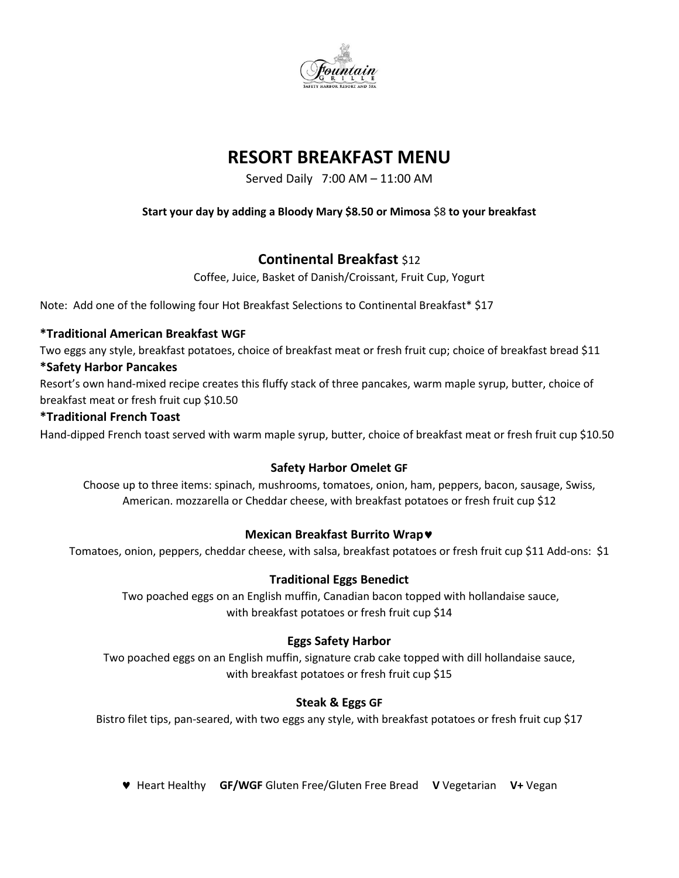

# **RESORT BREAKFAST MENU**

Served Daily 7:00 AM – 11:00 AM

### **Start your day by adding a Bloody Mary \$8.50 or Mimosa** \$8 **to your breakfast**

# **Continental Breakfast** \$12

Coffee, Juice, Basket of Danish/Croissant, Fruit Cup, Yogurt

Note: Add one of the following four Hot Breakfast Selections to Continental Breakfast\* \$17

### **\*Traditional American Breakfast WGF**

Two eggs any style, breakfast potatoes, choice of breakfast meat or fresh fruit cup; choice of breakfast bread \$11

#### **\*Safety Harbor Pancakes**

Resort's own hand-mixed recipe creates this fluffy stack of three pancakes, warm maple syrup, butter, choice of breakfast meat or fresh fruit cup \$10.50

#### **\*Traditional French Toast**

Hand-dipped French toast served with warm maple syrup, butter, choice of breakfast meat or fresh fruit cup \$10.50

### **Safety Harbor Omelet GF**

Choose up to three items: spinach, mushrooms, tomatoes, onion, ham, peppers, bacon, sausage, Swiss, American. mozzarella or Cheddar cheese, with breakfast potatoes or fresh fruit cup \$12

### **Mexican Breakfast Burrito Wrap**

Tomatoes, onion, peppers, cheddar cheese, with salsa, breakfast potatoes or fresh fruit cup \$11 Add-ons: \$1

### **Traditional Eggs Benedict**

Two poached eggs on an English muffin, Canadian bacon topped with hollandaise sauce, with breakfast potatoes or fresh fruit cup \$14

### **Eggs Safety Harbor**

Two poached eggs on an English muffin, signature crab cake topped with dill hollandaise sauce, with breakfast potatoes or fresh fruit cup \$15

### **Steak & Eggs GF**

Bistro filet tips, pan-seared, with two eggs any style, with breakfast potatoes or fresh fruit cup \$17

Heart Healthy **GF/WGF** Gluten Free/Gluten Free Bread **V** Vegetarian **V+** Vegan